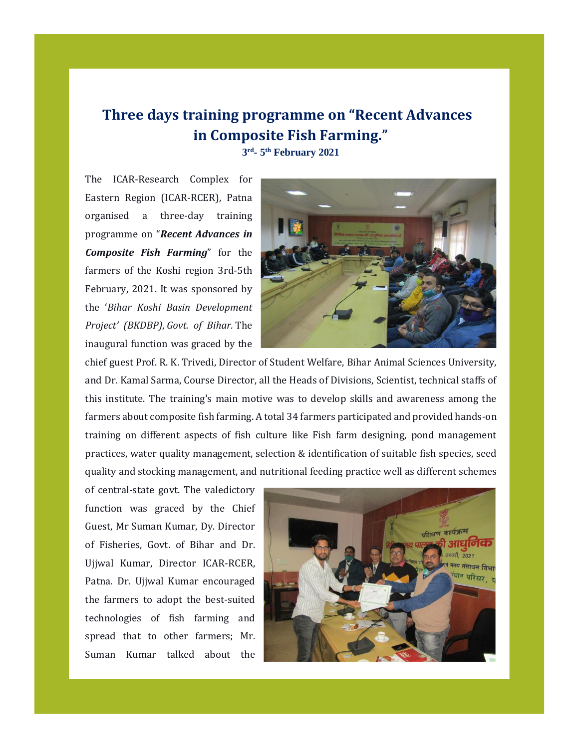## **Three days training programme on "Recent Advances in Composite Fish Farming."**

**3 rd - 5 th February 2021**

The ICAR-Research Complex for Eastern Region (ICAR-RCER), Patna organised a three-day training programme on "*Recent Advances in Composite Fish Farming*" for the farmers of the Koshi region 3rd-5th February, 2021. It was sponsored by the '*Bihar Koshi Basin Development Project' (BKDBP)*, *Govt. of Bihar.* The inaugural function was graced by the



chief guest Prof. R. K. Trivedi, Director of Student Welfare, Bihar Animal Sciences University, and Dr. Kamal Sarma, Course Director, all the Heads of Divisions, Scientist, technical staffs of this institute. The training's main motive was to develop skills and awareness among the farmers about composite fish farming. A total 34 farmers participated and provided hands-on training on different aspects of fish culture like Fish farm designing, pond management practices, water quality management, selection & identification of suitable fish species, seed quality and stocking management, and nutritional feeding practice well as different schemes

of central-state govt. The valedictory function was graced by the Chief Guest, Mr Suman Kumar, Dy. Director of Fisheries, Govt. of Bihar and Dr. Ujjwal Kumar, Director ICAR-RCER, Patna. Dr. Ujjwal Kumar encouraged the farmers to adopt the best-suited technologies of fish farming and spread that to other farmers; Mr. Suman Kumar talked about the